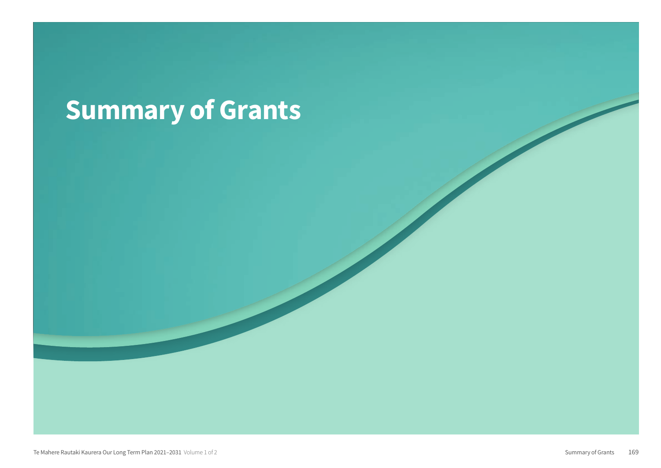## Summary of Grants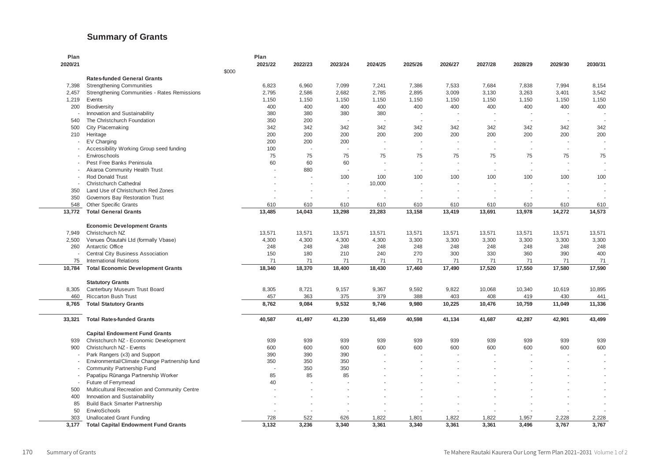## **Summary of Grants**

| Plan                               |                                               | Plan    |                          |         |         |         |         |                          |                          |                |         |
|------------------------------------|-----------------------------------------------|---------|--------------------------|---------|---------|---------|---------|--------------------------|--------------------------|----------------|---------|
| 2020/21                            |                                               | 2021/22 | 2022/23                  | 2023/24 | 2024/25 | 2025/26 | 2026/27 | 2027/28                  | 2028/29                  | 2029/30        | 2030/31 |
|                                    | \$000                                         |         |                          |         |         |         |         |                          |                          |                |         |
|                                    | <b>Rates-funded General Grants</b>            |         |                          |         |         |         |         |                          |                          |                |         |
| 7,398                              | <b>Strengthening Communities</b>              | 6,823   | 6,960                    | 7,099   | 7,241   | 7,386   | 7,533   | 7,684                    | 7,838                    | 7,994          | 8,154   |
| 2,457                              | Strengthening Communities - Rates Remissions  | 2,795   | 2,586                    | 2,682   | 2,785   | 2,895   | 3,009   | 3,130                    | 3,263                    | 3,401          | 3,542   |
| 1,219                              | Events                                        | 1,150   | 1,150                    | 1,150   | 1,150   | 1,150   | 1,150   | 1,150                    | 1,150                    | 1,150          | 1,150   |
| 200                                | <b>Biodiversity</b>                           | 400     | 400                      | 400     | 400     | 400     | 400     | 400                      | 400                      | 400            | 400     |
|                                    | Innovation and Sustainability                 | 380     | 380                      | 380     | 380     |         |         |                          |                          |                |         |
| 540                                | The Christchurch Foundation                   | 350     | 200                      |         |         |         |         |                          |                          |                |         |
| 500                                | City Placemaking                              | 342     | 342                      | 342     | 342     | 342     | 342     | 342                      | 342                      | 342            | 342     |
| 210                                | Heritage                                      | 200     | 200                      | 200     | 200     | 200     | 200     | 200                      | 200                      | 200            | 200     |
|                                    | EV Charging                                   | 200     | 200                      | 200     | $\sim$  |         |         |                          |                          | ÷,             |         |
|                                    | Accessibility Working Group seed funding      | 100     | $\overline{\phantom{a}}$ |         |         |         |         |                          |                          | ÷.             |         |
|                                    | Enviroschools                                 | 75      | 75                       | 75      | 75      | 75      | 75      | 75                       | 75                       | 75             | 75      |
|                                    | Pest Free Banks Peninsula                     | 60      | 60                       | 60      | ÷.      |         |         |                          | $\sim$                   | ÷.             |         |
|                                    | Akaroa Community Health Trust                 |         | 880                      | $\sim$  | ÷,      |         |         | $\overline{\phantom{a}}$ | $\overline{\phantom{a}}$ | ÷,             |         |
|                                    | Rod Donald Trust                              |         |                          | 100     | 100     | 100     | 100     | 100                      | 100                      | 100            | 100     |
| $\sim$                             | Christchurch Cathedral                        |         | $\overline{a}$           | $\sim$  | 10,000  |         |         |                          |                          | $\overline{a}$ |         |
| 350                                | Land Use of Christchurch Red Zones            |         |                          |         |         |         |         |                          |                          |                |         |
| 350                                | Governors Bay Restoration Trust               |         |                          |         |         |         |         |                          |                          |                |         |
| 548                                | <b>Other Specific Grants</b>                  | 610     | 610                      | 610     | 610     | 610     | 610     | 610                      | 610                      | 610            | 610     |
| 13,772                             | <b>Total General Grants</b>                   | 13,485  | 14,043                   | 13,298  | 23,283  | 13,158  | 13,419  | 13,691                   | 13,978                   | 14,272         | 14,573  |
|                                    |                                               |         |                          |         |         |         |         |                          |                          |                |         |
|                                    | <b>Economic Development Grants</b>            |         |                          |         |         |         |         |                          |                          |                |         |
| 7,949                              | Christchurch NZ                               | 13,571  | 13,571                   | 13,571  | 13,571  | 13,571  | 13,571  | 13,571                   | 13,571                   | 13,571         | 13,571  |
| 2,500                              | Venues Ōtautahi Ltd (formally Vbase)          | 4,300   | 4,300                    | 4,300   | 4,300   | 3,300   | 3,300   | 3,300                    | 3,300                    | 3,300          | 3,300   |
| 260                                | Antarctic Office                              | 248     | 248                      | 248     | 248     | 248     | 248     | 248                      | 248                      | 248            | 248     |
|                                    | Central City Business Association             | 150     | 180                      | 210     | 240     | 270     | 300     | 330                      | 360                      | 390            | 400     |
| 75                                 | <b>International Relations</b>                | 71      | 71                       | 71      | 71      | 71      | 71      | 71                       | 71                       | 71             | 71      |
| 10,784                             | <b>Total Economic Development Grants</b>      | 18,340  | 18,370                   | 18,400  | 18,430  | 17,460  | 17,490  | 17,520                   | 17,550                   | 17,580         | 17,590  |
|                                    |                                               |         |                          |         |         |         |         |                          |                          |                |         |
|                                    | <b>Statutory Grants</b>                       |         |                          |         |         |         |         |                          |                          |                |         |
| 8,305                              | Canterbury Museum Trust Board                 | 8,305   | 8,721                    | 9,157   | 9,367   | 9,592   | 9,822   | 10,068                   | 10,340                   | 10,619         | 10,895  |
| 460                                | <b>Riccarton Bush Trust</b>                   | 457     | 363                      | 375     | 379     | 388     | 403     | 408                      | 419                      | 430            | 441     |
| 8,765                              | <b>Total Statutory Grants</b>                 | 8,762   | 9,084                    | 9,532   | 9,746   | 9,980   | 10,225  | 10,476                   | 10,759                   | 11,049         | 11,336  |
|                                    |                                               |         |                          |         |         |         |         |                          |                          |                |         |
| 33,321                             | <b>Total Rates-funded Grants</b>              | 40,587  | 41,497                   | 41,230  | 51,459  | 40,598  | 41,134  | 41,687                   | 42,287                   | 42,901         | 43,499  |
|                                    |                                               |         |                          |         |         |         |         |                          |                          |                |         |
|                                    | <b>Capital Endowment Fund Grants</b>          |         |                          |         |         |         |         |                          |                          |                |         |
| 939                                | Christchurch NZ - Economic Development        | 939     | 939                      | 939     | 939     | 939     | 939     | 939                      | 939                      | 939            | 939     |
| 900                                | Christchurch NZ - Events                      | 600     | 600                      | 600     | 600     | 600     | 600     | 600                      | 600                      | 600            | 600     |
| $\overline{\phantom{a}}$<br>$\sim$ | Park Rangers (x3) and Support                 | 390     | 390                      | 390     |         |         |         |                          |                          |                |         |
|                                    | Environmental/Climate Change Partnership fund | 350     | 350                      | 350     |         |         |         |                          |                          | ٠              | $\sim$  |
|                                    | Community Partnership Fund                    |         | 350                      | 350     |         |         |         |                          |                          |                |         |
|                                    | Papatipu Rūnanga Partnership Worker           | 85      | 85                       | 85      |         |         |         |                          |                          |                |         |
|                                    | Future of Ferrymead                           | 40      |                          |         |         |         |         |                          |                          |                |         |
| 500                                | Multicultural Recreation and Community Centre |         |                          |         |         |         |         |                          |                          |                |         |
| 400                                | Innovation and Sustainability                 |         |                          |         |         |         |         |                          |                          |                |         |
| 85                                 | <b>Build Back Smarter Partnership</b>         |         |                          |         |         |         |         |                          |                          |                |         |
| 50                                 | EnviroSchools                                 |         |                          |         |         |         |         |                          |                          |                |         |
| 303                                | <b>Unallocated Grant Funding</b>              | 728     | 522                      | 626     | 1,822   | 1,801   | 1,822   | 1,822                    | 1,957                    | 2,228          | 2,228   |
| 3,177                              | <b>Total Capital Endowment Fund Grants</b>    | 3.132   | 3,236                    | 3.340   | 3,361   | 3,340   | 3,361   | 3,361                    | 3,496                    | 3.767          | 3,767   |